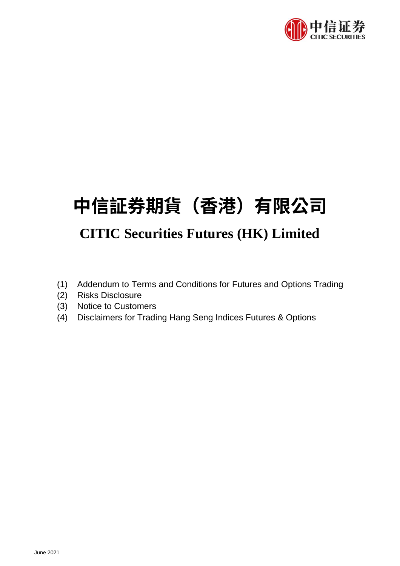

# 中信証券期貨 (香港) 有限公司 **CITIC Securities Futures (HK) Limited**

- (1) Addendum to Terms and Conditions for Futures and Options Trading
- (2) Risks Disclosure
- (3) Notice to Customers
- (4) Disclaimers for Trading Hang Seng Indices Futures & Options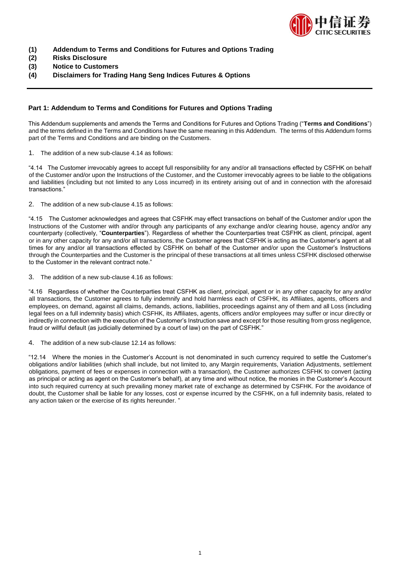

- **(1) Addendum to Terms and Conditions for Futures and Options Trading**
- **(2) Risks Disclosure**
- **(3) Notice to Customers**
- **(4) Disclaimers for Trading Hang Seng Indices Futures & Options**

# **Part 1: Addendum to Terms and Conditions for Futures and Options Trading**

This Addendum supplements and amends the Terms and Conditions for Futures and Options Trading ("**Terms and Conditions**") and the terms defined in the Terms and Conditions have the same meaning in this Addendum. The terms of this Addendum forms part of the Terms and Conditions and are binding on the Customers.

1. The addition of a new sub-clause 4.14 as follows:

"4.14 The Customer irrevocably agrees to accept full responsibility for any and/or all transactions effected by CSFHK on behalf of the Customer and/or upon the Instructions of the Customer, and the Customer irrevocably agrees to be liable to the obligations and liabilities (including but not limited to any Loss incurred) in its entirety arising out of and in connection with the aforesaid transactions."

2. The addition of a new sub-clause 4.15 as follows:

"4.15 The Customer acknowledges and agrees that CSFHK may effect transactions on behalf of the Customer and/or upon the Instructions of the Customer with and/or through any participants of any exchange and/or clearing house, agency and/or any counterparty (collectively, "**Counterparties**"). Regardless of whether the Counterparties treat CSFHK as client, principal, agent or in any other capacity for any and/or all transactions, the Customer agrees that CSFHK is acting as the Customer's agent at all times for any and/or all transactions effected by CSFHK on behalf of the Customer and/or upon the Customer's Instructions through the Counterparties and the Customer is the principal of these transactions at all times unless CSFHK disclosed otherwise to the Customer in the relevant contract note."

3. The addition of a new sub-clause 4.16 as follows:

"4.16 Regardless of whether the Counterparties treat CSFHK as client, principal, agent or in any other capacity for any and/or all transactions, the Customer agrees to fully indemnify and hold harmless each of CSFHK, its Affiliates, agents, officers and employees, on demand, against all claims, demands, actions, liabilities, proceedings against any of them and all Loss (including legal fees on a full indemnity basis) which CSFHK, its Affiliates, agents, officers and/or employees may suffer or incur directly or indirectly in connection with the execution of the Customer's Instruction save and except for those resulting from gross negligence, fraud or willful default (as judicially determined by a court of law) on the part of CSFHK."

4. The addition of a new sub-clause 12.14 as follows:

"12.14 Where the monies in the Customer's Account is not denominated in such currency required to settle the Customer's obligations and/or liabilities (which shall include, but not limited to, any Margin requirements, Variation Adjustments, settlement obligations, payment of fees or expenses in connection with a transaction), the Customer authorizes CSFHK to convert (acting as principal or acting as agent on the Customer's behalf), at any time and without notice, the monies in the Customer's Account into such required currency at such prevailing money market rate of exchange as determined by CSFHK. For the avoidance of doubt, the Customer shall be liable for any losses, cost or expense incurred by the CSFHK, on a full indemnity basis, related to any action taken or the exercise of its rights hereunder. "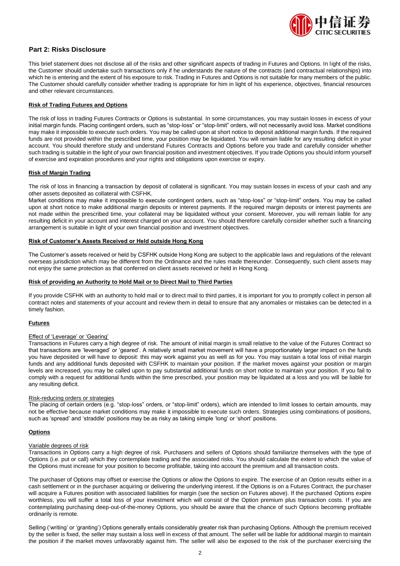

# **Part 2: Risks Disclosure**

This brief statement does not disclose all of the risks and other significant aspects of trading in Futures and Options. In light of the risks, the Customer should undertake such transactions only if he understands the nature of the contracts (and contractual relationships) into which he is entering and the extent of his exposure to risk. Trading in Futures and Options is not suitable for many members of the public. The Customer should carefully consider whether trading is appropriate for him in light of his experience, objectives, financial resources and other relevant circumstances.

## **Risk of Trading Futures and Options**

The risk of loss in trading Futures Contracts or Options is substantial. In some circumstances, you may sustain losses in excess of your initial margin funds. Placing contingent orders, such as "stop-loss" or "stop-limit" orders, will not necessarily avoid loss. Market conditions may make it impossible to execute such orders. You may be called upon at short notice to deposit additional margin funds. If the required funds are not provided within the prescribed time, your position may be liquidated. You will remain liable for any resulting deficit in your account. You should therefore study and understand Futures Contracts and Options before you trade and carefully consider whether such trading is suitable in the light of your own financial position and investment objectives. If you trade Options you should inform yourself of exercise and expiration procedures and your rights and obligations upon exercise or expiry.

#### **Risk of Margin Trading**

The risk of loss in financing a transaction by deposit of collateral is significant. You may sustain losses in excess of your cash and any other assets deposited as collateral with CSFHK.

Market conditions may make it impossible to execute contingent orders, such as "stop-loss" or "stop-limit" orders. You may be called upon at short notice to make additional margin deposits or interest payments. If the required margin deposits or interest payments are not made within the prescribed time, your collateral may be liquidated without your consent. Moreover, you will remain liable for any resulting deficit in your account and interest charged on your account. You should therefore carefully consider whether such a financing arrangement is suitable in light of your own financial position and investment objectives.

## **Risk of Customer's Assets Received or Held outside Hong Kong**

The Customer's assets received or held by CSFHK outside Hong Kong are subject to the applicable laws and regulations of the relevant overseas jurisdiction which may be different from the Ordinance and the rules made thereunder. Consequently, such client assets may not enjoy the same protection as that conferred on client assets received or held in Hong Kong.

#### **Risk of providing an Authority to Hold Mail or to Direct Mail to Third Parties**

If you provide CSFHK with an authority to hold mail or to direct mail to third parties, it is important for you to promptly collect in person all contract notes and statements of your account and review them in detail to ensure that any anomalies or mistakes can be detected in a timely fashion.

## **Futures**

#### Effect of 'Leverage' or 'Gearing'

Transactions in Futures carry a high degree of risk. The amount of initial margin is small relative to the value of the Futures Contract so that transactions are 'leveraged' or 'geared'. A relatively small market movement will have a proportionately larger impact on the funds you have deposited or will have to deposit: this may work against you as well as for you. You may sustain a total loss of initial margin funds and any additional funds deposited with CSFHK to maintain your position. If the market moves against your position or margin levels are increased, you may be called upon to pay substantial additional funds on short notice to maintain your position. If you fail to comply with a request for additional funds within the time prescribed, your position may be liquidated at a loss and you will be liable for any resulting deficit.

#### Risk-reducing orders or strategies

The placing of certain orders (e.g. "stop-loss" orders, or "stop-limit" orders), which are intended to limit losses to certain amounts, may not be effective because market conditions may make it impossible to execute such orders. Strategies using combinations of positions, such as 'spread' and 'straddle' positions may be as risky as taking simple 'long' or 'short' positions.

## **Options**

#### Variable degrees of risk

Transactions in Options carry a high degree of risk. Purchasers and sellers of Options should familiarize themselves with the type of Options (i.e. put or call) which they contemplate trading and the associated risks. You should calculate the extent to which the value of the Options must increase for your position to become profitable, taking into account the premium and all transaction costs.

The purchaser of Options may offset or exercise the Options or allow the Options to expire. The exercise of an Option results either in a cash settlement or in the purchaser acquiring or delivering the underlying interest. If the Options is on a Futures Contract, the purchaser will acquire a Futures position with associated liabilities for margin (see the section on Futures above). If the purchased Options expire worthless, you will suffer a total loss of your investment which will consist of the Option premium plus transaction costs. If you are contemplating purchasing deep-out-of-the-money Options, you should be aware that the chance of such Options becoming profitable ordinarily is remote.

Selling ('writing' or 'granting') Options generally entails considerably greater risk than purchasing Options. Although the premium received by the seller is fixed, the seller may sustain a loss well in excess of that amount. The seller will be liable for additional margin to maintain the position if the market moves unfavorably against him. The seller will also be exposed to the risk of the purchaser exercising the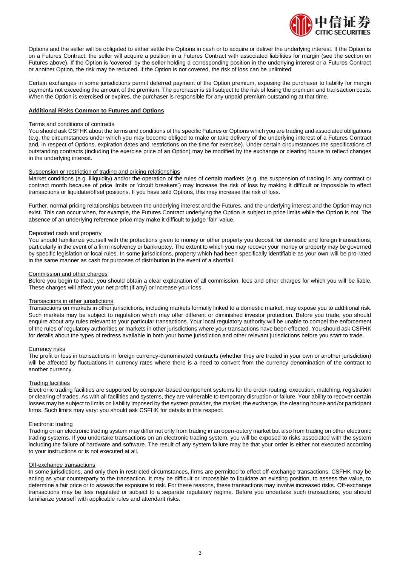

Options and the seller will be obligated to either settle the Options in cash or to acquire or deliver the underlying interest. If the Option is on a Futures Contract, the seller will acquire a position in a Futures Contract with associated liabilities for margin (see the section on Futures above). If the Option is 'covered' by the seller holding a corresponding position in the underlying interest or a Futures Contract or another Option, the risk may be reduced. If the Option is not covered, the risk of loss can be unlimited.

Certain exchanges in some jurisdictions permit deferred payment of the Option premium, exposing the purchaser to liability for margin payments not exceeding the amount of the premium. The purchaser is still subject to the risk of losing the premium and transaction costs. When the Option is exercised or expires, the purchaser is responsible for any unpaid premium outstanding at that time.

## **Additional Risks Common to Futures and Options**

#### Terms and conditions of contracts

You should ask CSFHK about the terms and conditions of the specific Futures or Options which you are trading and associated obligations (e.g. the circumstances under which you may become obliged to make or take delivery of the underlying interest of a Futures Contract and, in respect of Options, expiration dates and restrictions on the time for exercise). Under certain circumstances the specifications of outstanding contracts (including the exercise price of an Option) may be modified by the exchange or clearing house to reflect changes in the underlying interest.

#### Suspension or restriction of trading and pricing relationships

Market conditions (e.g. illiquidity) and/or the operation of the rules of certain markets (e.g. the suspension of trading in any contract or contract month because of price limits or 'circuit breakers') may increase the risk of loss by making it difficult or impossible to effect transactions or liquidate/offset positions. If you have sold Options, this may increase the risk of loss.

Further, normal pricing relationships between the underlying interest and the Futures, and the underlying interest and the Option may not exist. This can occur when, for example, the Futures Contract underlying the Option is subject to price limits while the Option is not. The absence of an underlying reference price may make it difficult to judge 'fair' value.

#### Deposited cash and property

You should familiarize yourself with the protections given to money or other property you deposit for domestic and foreign transactions, particularly in the event of a firm insolvency or bankruptcy. The extent to which you may recover your money or property may be governed by specific legislation or local rules. In some jurisdictions, property which had been specifically identifiable as your own will be pro-rated in the same manner as cash for purposes of distribution in the event of a shortfall.

## Commission and other charges

Before you begin to trade, you should obtain a clear explanation of all commission, fees and other charges for which you will be liable. These charges will affect your net profit (if any) or increase your loss.

#### Transactions in other jurisdictions

Transactions on markets in other jurisdictions, including markets formally linked to a domestic market, may expose you to additional risk. Such markets may be subject to regulation which may offer different or diminished investor protection. Before you trade, you should enquire about any rules relevant to your particular transactions. Your local regulatory authority will be unable to compel the enforcement of the rules of regulatory authorities or markets in other jurisdictions where your transactions have been effected. You should ask CSFHK for details about the types of redress available in both your home jurisdiction and other relevant jurisdictions before you start to trade.

#### Currency risks

The profit or loss in transactions in foreign currency-denominated contracts (whether they are traded in your own or another jurisdiction) will be affected by fluctuations in currency rates where there is a need to convert from the currency denomination of the contract to another currency.

#### Trading facilities

Electronic trading facilities are supported by computer-based component systems for the order-routing, execution, matching, registration or clearing of trades. As with all facilities and systems, they are vulnerable to temporary disruption or failure. Your ability to recover certain losses may be subject to limits on liability imposed by the system provider, the market, the exchange, the clearing house and/or participant firms. Such limits may vary: you should ask CSFHK for details in this respect.

#### Electronic trading

Trading on an electronic trading system may differ not only from trading in an open-outcry market but also from trading on other electronic trading systems. If you undertake transactions on an electronic trading system, you will be exposed to risks associated with the system including the failure of hardware and software. The result of any system failure may be that your order is either not executed according to your instructions or is not executed at all.

#### Off-exchange transactions

In some jurisdictions, and only then in restricted circumstances, firms are permitted to effect off-exchange transactions. CSFHK may be acting as your counterparty to the transaction. It may be difficult or impossible to liquidate an existing position, to assess the value, to determine a fair price or to assess the exposure to risk. For these reasons, these transactions may involve increased risks. Off-exchange transactions may be less regulated or subject to a separate regulatory regime. Before you undertake such transactions, you should familiarize yourself with applicable rules and attendant risks.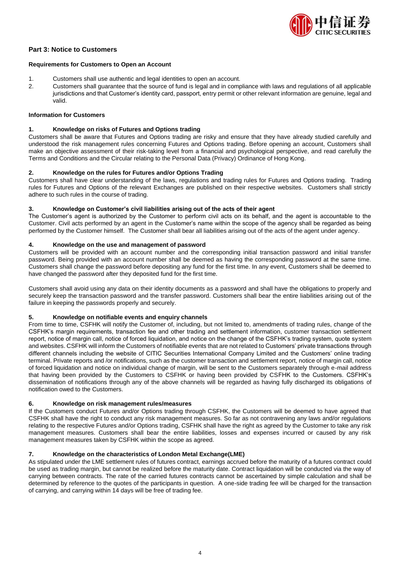

# **Part 3: Notice to Customers**

# **Requirements for Customers to Open an Account**

- 1. Customers shall use authentic and legal identities to open an account.<br>2. Customers shall quarantee that the source of fund is legal and in comp
- 2. Customers shall guarantee that the source of fund is legal and in compliance with laws and regulations of all applicable jurisdictions and that Customer's identity card, passport, entry permit or other relevant information are genuine, legal and valid.

# **Information for Customers**

# **1. Knowledge on risks of Futures and Options trading**

Customers shall be aware that Futures and Options trading are risky and ensure that they have already studied carefully and understood the risk management rules concerning Futures and Options trading. Before opening an account, Customers shall make an objective assessment of their risk-taking level from a financial and psychological perspective, and read carefully the Terms and Conditions and the Circular relating to the Personal Data (Privacy) Ordinance of Hong Kong.

# **2. Knowledge on the rules for Futures and/or Options Trading**

Customers shall have clear understanding of the laws, regulations and trading rules for Futures and Options trading. Trading rules for Futures and Options of the relevant Exchanges are published on their respective websites. Customers shall strictly adhere to such rules in the course of trading.

# **3. Knowledge on Customer's civil liabilities arising out of the acts of their agent**

The Customer's agent is authorized by the Customer to perform civil acts on its behalf, and the agent is accountable to the Customer. Civil acts performed by an agent in the Customer's name within the scope of the agency shall be regarded as being performed by the Customer himself. The Customer shall bear all liabilities arising out of the acts of the agent under agency.

# **4. Knowledge on the use and management of password**

Customers will be provided with an account number and the corresponding initial transaction password and initial transfer password. Being provided with an account number shall be deemed as having the corresponding password at the same time. Customers shall change the password before depositing any fund for the first time. In any event, Customers shall be deemed to have changed the password after they deposited fund for the first time.

Customers shall avoid using any data on their identity documents as a password and shall have the obligations to properly and securely keep the transaction password and the transfer password. Customers shall bear the entire liabilities arising out of the failure in keeping the passwords properly and securely.

# **5. Knowledge on notifiable events and enquiry channels**

From time to time, CSFHK will notify the Customer of, including, but not limited to, amendments of trading rules, change of the CSFHK's margin requirements, transaction fee and other trading and settlement information, customer transaction settlement report, notice of margin call, notice of forced liquidation, and notice on the change of the CSFHK's trading system, quote system and websites. CSFHK will inform the Customers of notifiable events that are not related to Customers' private transactions through different channels including the website of CITIC Securities International Company Limited and the Customers' online trading terminal. Private reports and /or notifications, such as the customer transaction and settlement report, notice of margin call, notice of forced liquidation and notice on individual change of margin, will be sent to the Customers separately through e-mail address that having been provided by the Customers to CSFHK or having been provided by CSFHK to the Customers. CSFHK's dissemination of notifications through any of the above channels will be regarded as having fully discharged its obligations of notification owed to the Customers.

# **6. Knowledge on risk management rules/measures**

If the Customers conduct Futures and/or Options trading through CSFHK, the Customers will be deemed to have agreed that CSFHK shall have the right to conduct any risk management measures. So far as not contravening any laws and/or regulations relating to the respective Futures and/or Options trading, CSFHK shall have the right as agreed by the Customer to take any risk management measures. Customers shall bear the entire liabilities, losses and expenses incurred or caused by any risk management measures taken by CSFHK within the scope as agreed.

# **7. Knowledge on the characteristics of London Metal Exchange(LME)**

As stipulated under the LME settlement rules of futures contract, earnings accrued before the maturity of a futures contract could be used as trading margin, but cannot be realized before the maturity date. Contract liquidation will be conducted via the way of carrying between contracts. The rate of the carried futures contracts cannot be ascertained by simple calculation and shall be determined by reference to the quotes of the participants in question. A one-side trading fee will be charged for the transaction of carrying, and carrying within 14 days will be free of trading fee.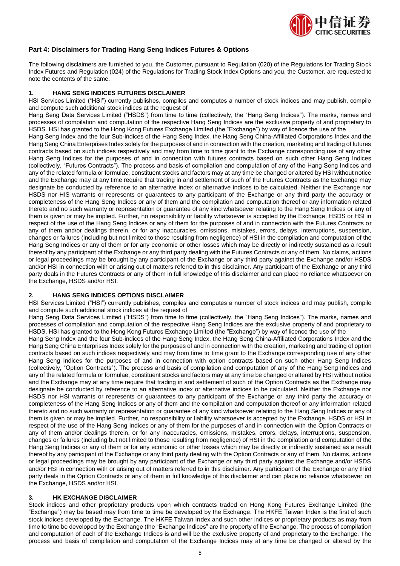

# **Part 4: Disclaimers for Trading Hang Seng Indices Futures & Options**

The following disclaimers are furnished to you, the Customer, pursuant to Regulation (020) of the Regulations for Trading Stock Index Futures and Regulation (024) of the Regulations for Trading Stock Index Options and you, the Customer, are requested to note the contents of the same.

# **1. HANG SENG INDICES FUTURES DISCLAIMER**

HSI Services Limited ("HSI") currently publishes, compiles and computes a number of stock indices and may publish, compile and compute such additional stock indices at the request of

Hang Seng Data Services Limited ("HSDS") from time to time (collectively, the "Hang Seng Indices"). The marks, names and processes of compilation and computation of the respective Hang Seng Indices are the exclusive property of and proprietary to HSDS. HSI has granted to the Hong Kong Futures Exchange Limited (the "Exchange") by way of licence the use of the

Hang Seng Index and the four Sub-indices of the Hang Seng Index, the Hang Seng China-Affiliated Corporations Index and the Hang Seng China Enterprises Index solely for the purposes of and in connection with the creation, marketing and trading of futures contracts based on such indices respectively and may from time to time grant to the Exchange corresponding use of any other Hang Seng Indices for the purposes of and in connection with futures contracts based on such other Hang Seng Indices (collectively, "Futures Contracts"). The process and basis of compilation and computation of any of the Hang Seng Indices and any of the related formula or formulae, constituent stocks and factors may at any time be changed or altered by HSI without notice and the Exchange may at any time require that trading in and settlement of such of the Futures Contracts as the Exchange may designate be conducted by reference to an alternative index or alternative indices to be calculated. Neither the Exchange nor HSDS nor HIS warrants or represents or guarantees to any participant of the Exchange or any third party the accuracy or completeness of the Hang Seng Indices or any of them and the compilation and computation thereof or any information related thereto and no such warranty or representation or guarantee of any kind whatsoever relating to the Hang Seng Indices or any of them is given or may be implied. Further, no responsibility or liability whatsoever is accepted by the Exchange, HSDS or HSI in respect of the use of the Hang Seng Indices or any of them for the purposes of and in connection with the Futures Contracts or any of them and/or dealings therein, or for any inaccuracies, omissions, mistakes, errors, delays, interruptions, suspension, changes or failures (including but not limited to those resulting from negligence) of HSI in the compilation and computation of the Hang Seng Indices or any of them or for any economic or other losses which may be directly or indirectly sustained as a result thereof by any participant of the Exchange or any third party dealing with the Futures Contracts or any of them. No claims, actions or legal proceedings may be brought by any participant of the Exchange or any third party against the Exchange and/or HSDS and/or HSI in connection with or arising out of matters referred to in this disclaimer. Any participant of the Exchange or any third party deals in the Futures Contracts or any of them in full knowledge of this disclaimer and can place no reliance whatsoever on the Exchange, HSDS and/or HSI.

# **2. HANG SENG INDICES OPTIONS DISCLAIMER**

HSI Services Limited ("HSI") currently publishes, compiles and computes a number of stock indices and may publish, compile and compute such additional stock indices at the request of

Hang Seng Data Services Limited ("HSDS") from time to time (collectively, the "Hang Seng Indices"). The marks, names and processes of compilation and computation of the respective Hang Seng Indices are the exclusive property of and proprietary to HSDS. HSI has granted to the Hong Kong Futures Exchange Limited (the "Exchange") by way of licence the use of the

Hang Seng Index and the four Sub-indices of the Hang Seng Index, the Hang Seng China-Affiliated Corporations Index and the Hang Seng China Enterprises Index solely for the purposes of and in connection with the creation, marketing and trading of option contracts based on such indices respectively and may from time to time grant to the Exchange corresponding use of any other Hang Seng Indices for the purposes of and in connection with option contracts based on such other Hang Seng Indices (collectively, "Option Contracts"). The process and basis of compilation and computation of any of the Hang Seng Indices and any of the related formula or formulae, constituent stocks and factors may at any time be changed or altered by HSI without notice and the Exchange may at any time require that trading in and settlement of such of the Option Contracts as the Exchange may designate be conducted by reference to an alternative index or alternative indices to be calculated. Neither the Exchange nor HSDS nor HSI warrants or represents or guarantees to any participant of the Exchange or any third party the accuracy or completeness of the Hang Seng Indices or any of them and the compilation and computation thereof or any information related thereto and no such warranty or representation or guarantee of any kind whatsoever relating to the Hang Seng Indices or any of them is given or may be implied. Further, no responsibility or liability whatsoever is accepted by the Exchange, HSDS or HSI in respect of the use of the Hang Seng Indices or any of them for the purposes of and in connection with the Option Contracts or any of them and/or dealings therein, or for any inaccuracies, omissions, mistakes, errors, delays, interruptions, suspension, changes or failures (including but not limited to those resulting from negligence) of HSI in the compilation and computation of the Hang Seng Indices or any of them or for any economic or other losses which may be directly or indirectly sustained as a result thereof by any participant of the Exchange or any third party dealing with the Option Contracts or any of them. No claims, actions or legal proceedings may be brought by any participant of the Exchange or any third party against the Exchange and/or HSDS and/or HSI in connection with or arising out of matters referred to in this disclaimer. Any participant of the Exchange or any third party deals in the Option Contracts or any of them in full knowledge of this disclaimer and can place no reliance whatsoever on the Exchange, HSDS and/or HSI.

# **3. HK EXCHANGE DISCLAIMER**

Stock indices and other proprietary products upon which contracts traded on Hong Kong Futures Exchange Limited (the "Exchange") may be based may from time to time be developed by the Exchange. The HKFE Taiwan Index is the first of such stock indices developed by the Exchange. The HKFE Taiwan Index and such other indices or proprietary products as may from time to time be developed by the Exchange (the "Exchange Indices" are the property of the Exchange. The process of compilation and computation of each of the Exchange Indices is and will be the exclusive property of and proprietary to the Exchange. The process and basis of compilation and computation of the Exchange Indices may at any time be changed or altered by the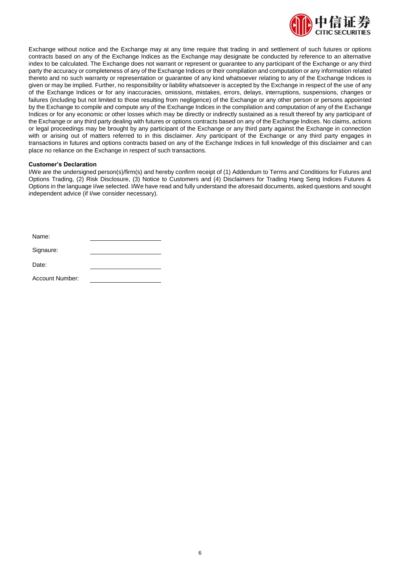

Exchange without notice and the Exchange may at any time require that trading in and settlement of such futures or options contracts based on any of the Exchange Indices as the Exchange may designate be conducted by reference to an alternative index to be calculated. The Exchange does not warrant or represent or guarantee to any participant of the Exchange or any third party the accuracy or completeness of any of the Exchange Indices or their compilation and computation or any information related thereto and no such warranty or representation or guarantee of any kind whatsoever relating to any of the Exchange Indices is given or may be implied. Further, no responsibility or liability whatsoever is accepted by the Exchange in respect of the use of any of the Exchange Indices or for any inaccuracies, omissions, mistakes, errors, delays, interruptions, suspensions, changes or failures (including but not limited to those resulting from negligence) of the Exchange or any other person or persons appointed by the Exchange to compile and compute any of the Exchange Indices in the compilation and computation of any of the Exchange Indices or for any economic or other losses which may be directly or indirectly sustained as a result thereof by any participant of the Exchange or any third party dealing with futures or options contracts based on any of the Exchange Indices. No claims, actions or legal proceedings may be brought by any participant of the Exchange or any third party against the Exchange in connection with or arising out of matters referred to in this disclaimer. Any participant of the Exchange or any third party engages in transactions in futures and options contracts based on any of the Exchange Indices in full knowledge of this disclaimer and can place no reliance on the Exchange in respect of such transactions.

# **Customer's Declaration**

I/We are the undersigned person(s)/firm(s) and hereby confirm receipt of (1) Addendum to Terms and Conditions for Futures and Options Trading, (2) Risk Disclosure, (3) Notice to Customers and (4) Disclaimers for Trading Hang Seng Indices Futures & Options in the language I/we selected. I/We have read and fully understand the aforesaid documents, asked questions and sought independent advice (if I/we consider necessary).

| Name:           |  |
|-----------------|--|
| Signaure:       |  |
| Date:           |  |
| Account Number: |  |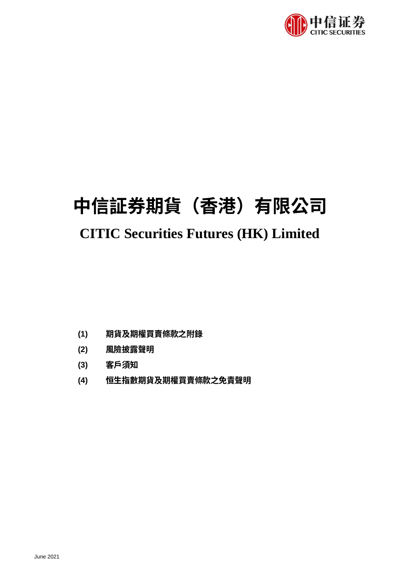

# 中信証券期貨 (香港) 有限公司 **CITIC Securities Futures (HK) Limited**

- **(1)** 期貨及期權買賣條款之附錄
- 風險披露聲明 **(2)**
- **(3)**
- 恒生指數期貨及期權買賣條款之免責聲明 **(4)**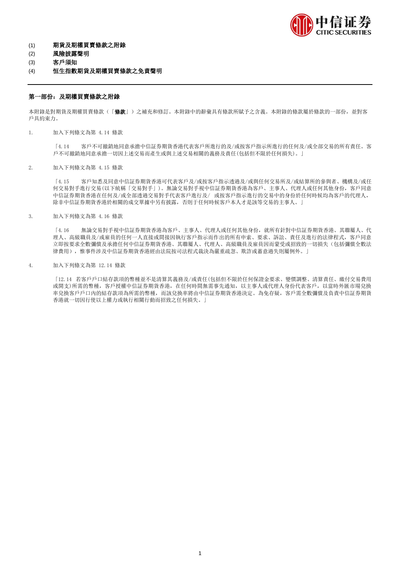

# (1) 期貨及期權買賣條款之附錄

- (2) 風險披露聲明
- (3) 客戶須知

#### (4) 恒生指數期貨及期權買賣條款之免責聲明

# 第一部份:及期權買賣條款之附錄

本附錄是對期貨及期權買賣條款(「**條款**」)之補充和修訂。本附錄中的辭彙具有條款所賦予之含義。本附錄的條款屬於條款的一部份,並對客 戶具約束力。

1. 加入下列條文為第 4.14 條款

「4.14 客戶不可撤銷地同意承擔中信証券期貨香港代表客戶所進行的及/或按客戶指示所進行的任何及/或全部交易的所有責任。客 戶不可撤銷地同意承擔一切因上述交易而產生或與上述交易相關的義務及責任(包括但不限於任何損失)。」

2. 加入下列條文為第 4.15 條款

「4.15 客戶知悉及同意中信証券期貨香港可代表客戶及/或按客戶指示透過及/或與任何交易所及/或結算所的參與者、機構及/或任 何交易對手進行交易(以下統稱「交易對手」)。無論交易對手視中信証券期貨香港為客戶、主事人、代理人或任何其他身份,客戶同意 中信証券期貨香港在任何及/或全部透過交易對手代表客戶進行及/ 或按客戶指示進行的交易中的身份於任何時候均為客戶的代理人, 除非中信証券期貨香港於相關的成交單據中另有披露,否則于任何時候客戶本人才是該等交易的主事人。」

3. 加入下列條文為第 4.16 條款

「4.16 無論交易對手視中信証券期貨香港為客戶、主事人、代理人或任何其他身份,就所有針對中信証券期貨香港、其聯屬人、代 理人、高級職員及/或雇員的任何一人直接或間接因執行客戶指示而作出的所有申索、要求、訴訟、責任及進行的法律程式, 客戶同意 立即按要求全數彌償及承擔任何中信証券期貨香港、其聯屬人、代理人、高級職員及雇員因而蒙受或招致的一切損失(包括彌償全數法 律費用),惟事件涉及中信証券期貨香港經由法院按司法程式裁決為嚴重疏忽、欺詐或蓄意過失則屬例外。」

4. 加入下列條文為第 12.14 條款

「12.14 若客戶戶口結存款項的幣種並不是清算其義務及/或責任(包括但不限於任何保證金要求、變價調整、清算責任、繳付交易費用 或開支)所需的幣種,客戶授權中信証券期貨香港,在任何時間無需事先通知,以主事人或代理人身份代表客戶,以當時外匯市場兌換 率兌換客戶戶口內的結存款項為所需的幣種,而該兌換率將由中信証券期貨香港決定。為免存疑,客戶需全數彌償及負責中信証券期貨 香港就一切因行使以上權力或執行相關行動而招致之任何損失。」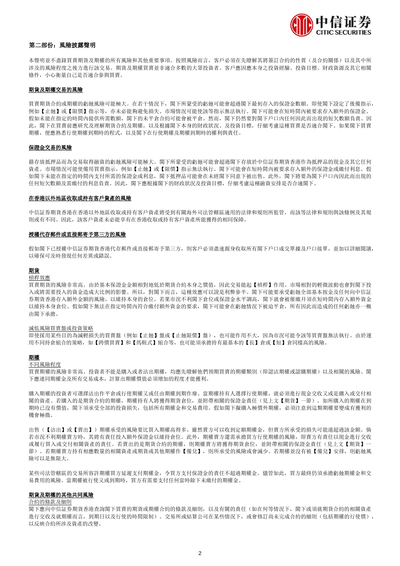

## 第二部份:風險披露聲明

本聲明並不盡錄買賣期貨及期權的所有風險和其他重要事項。按照風險而言,客戶必須在先瞭解其將簽訂合約的性質(及合約關係)以及其中所 涉及的風險程度之後方進行該交易。期貨及期權買賣並非適合多數的大眾投資者。客戶應因應本身之投資經驗、投資目標、財政資源及其它相關 條件,小心衡量自己是否適合參與買賣。

#### 期貨及期權交易的風險

買賣期貨合約或期權的虧蝕風險可能極大。在若干情況下,閣下所蒙受的虧蝕可能會超過閣下最初存入的保證金數額。即使閣下設定了後備指示, 例如【止蝕】或【限價】指示等,亦未必能夠避免損失。市場情況可能使該等指示無法執行。閣下可能會在短時間內被要求存入額外的保證金。 假如未能在指定的時間內提供所需數額,閣下的未平倉合約可能會被平倉。然而,閣下仍然要對閣下戶口內任何因此而出現的短欠數額負責。因 此,閣下在買賣前應研究及理解期貨合約及期權,以及根據閣下本身的財政狀況、及投資目標,仔細考慮這種買賣是否適合閣下。如果閣下買賣 期權,便應熟悉行使期權到期時的程式,以及閣下在行使期權及期權到期時的權利與責任。

#### 保證金交易的風險

籍存放抵押品而為交易取得融資的虧蝕風險可能極大。閣下所蒙受的虧蝕可能會超過閣下存放於中信証券期貨香港作為抵押品的現金及其它任何 資產。市場情況可能使備用買賣指示,例如【止蝕】或【限價】指示無法執行。閣下可能會在短時間內被要求存入額外的保證金或繳付利息。假 如閣下未能在指定的時間內支付所需的保證金或利息,閣下抵押品可能會在未經閣下同意下被出售。此外,閣下將要為閣下戶口內因此而出現的 任何短欠數額及需繳付的利息負責。因此,閣下應根據閣下的財政狀況及投資目標,仔細考慮這種融資安排是否合適閣下。

#### 在香港以外地區收取或持有客戶資產的風險

中信証券期貨香港在香港以外地區收取或持有客戶資產將受到有關海外司法管轄區適用的法律和規則所監管,而該等法律和規則與該條例及其規 則或有不同。因此,該客戶資產未必能享有在香港收取或持有客戶資產所能獲得的相同保障。

#### 授權代存郵件或直接郵寄予第三方的風險

假如閣下已授權中信証券期貨香港代存郵件或直接郵寄予第三方,則客戶必須盡速親身收取所有閣下戶口成交單據及戶口接單,並加以詳細閱讀, 以確保可及時發現任何差異或錯誤。

#### 期貨

#### 槓桿效應

買賣期貨的風險非常高。由於基本保證金金額相對地低於期貨合約本身之價值,因此交易能起【槓桿】作用。市場相對的輕微波動也會對閣下投 入或將需要投入的資金造成大比例的影響。所以,對閣下而言,這種效應可以說是利弊參半。閣下可能要承受虧蝕全部基本按金及任何向中信証 券期貨香港存入額外金額的風險,以維持本身的倉位。若果市況不利閣下倉位或保證金水平調高,閣下就會被催繳幷須在短時間內存入額外資金 以維持本身倉位。假如閣下無法在指定時間內符合繳付額外資金的要求,閣下可能會在虧蝕情況下被迫平倉,所有因此而造成的任何虧蝕亦一概 由閣下承擔。

#### 減低風險買賣盤或投資策略

即使採用某些目的為減輕損失的買賣盤(例如【止蝕】盤或【止蝕限價】盤),也可能作用不大,因為市況可能令該等買賣盤無法執行。由於運 用不同持倉組合的策略,如【跨價買賣】和【馬鞍式】組合等,也可能須承擔持有最基本的【長】倉或【短】倉同樣高的風險。

#### 期權

#### 不同風險程度

買賣期權的風險非常高。投資者不能是購入或者沽出期權,均應先瞭解他們預期買賣的期權類別(即認沽期權或認購期權)以及相關的風險。閣 下應連同期權金及所有交易成本,計算出期權價值必須增加的程度才能獲利。

購入期權的投資者可選擇沽出作平倉或行使期權又或任由期權到期作廢。當期權持有人選擇行使期權,就必須進行現金交收又或是購入或交付相 關的資產。若購入的是期貨合約的期權,期權持有人將獲得期貨倉位,並附帶相關的保證金責任(見上文【期貨】一節)。如所購入的期權在到 期時已沒有價值,閣下須承受全部的投資損失,包括所有期權金和交易費用。假如閣下擬購入極價外期權,必須注意到這類期權要變成有獲利的 機會極微。

出售(【沽出】或【賣出】)期權承受的風險要比買入期權高得多。雖然賣方可以收到定額期權金,但賣方所承受的損失可能遠超過該金額。倘 若市況不利期權賣方時,其將有責任投入額外保證金以維持倉位。此外,期權賣方還需承擔買方行使期權的風險,即賣方有責任以現金進行交收 或履行買入或交付相關資產的責任。若賣出的是期貨合約的期權,則期權賣方將獲得期貨倉位,並附帶相關的保證金責任(見上文【期貨】 節)。若期權賣方持有相應數量的相關資產或期貨或其他期權作【備兌】,則所承受的風險或會減少。若期權並沒有被【備兌】安排,則虧蝕風 險可以是無限大。

某些司法管轄區的交易所容許期權買方延遲支付期權金,令買方支付保證金的責任不超過期權金。儘管如此,買方最終仍須承擔虧蝕期權金和交 易費用的風險。當期權被行使又或到期時,買方有需要支付任何當時餘下未繳付的期權金。

#### 期貨及期權的其他共同風險

#### 合約的條款及細則

閣下應向中信証券期貨香港查詢閣下買賣的期貨或期權合約的條款及細則,以及有關的責任(如在何等情況下,閣下或須就期貨合約的相關資產 進行交收及就期權而言,到期日以及行使的時間限制)。交易所或結算公司在某些情況下,或會修訂尚未完成合約的細則(包括期權的行使價), 以反映合約所涉及資產的改變。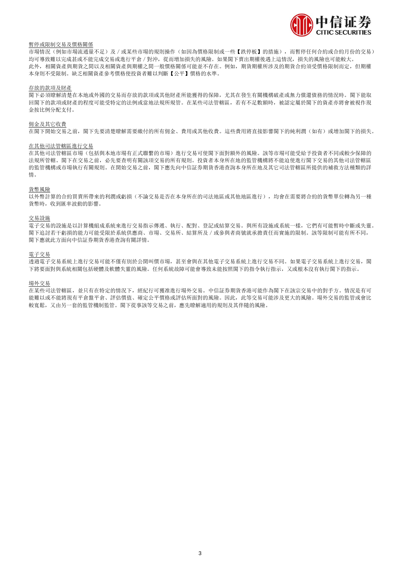

#### 暫停或限制交易及價格關係

市場情況(例如市場流通量不足)及/或某些市場的規則操作(如因為價格限制或一些【跌停板】的措施),而暫停任何合約或合約月份的交易) 均可導致難以完成甚或不能完成交易或進行平倉/對沖,從而增加損失的風險。如果閣下賣出期權後遇上這情況,損失的風險也可能較大。 此外,相關資產與期貨之間以及相關資產與期權之間一般價格關係可能並不存在。例如,期貨期權所涉及的期貨合約須受價格限制而定,但期權 本身則不受限制。缺乏相關資產參考價格使投資者難以判斷【公平】價格的水準。

#### 存放的款項及財產

閣下必須瞭解清楚在本地或外國的交易而存放的款項或其他財產所能獲得的保障,尤其在發生有關機構破產或無力償還債務的情況時。閣下能取 回閣下的款項或財產的程度可能受特定的法例或當地法規所規管。在某些司法管轄區,若有不足數額時,被認定屬於閣下的資產亦將會被視作現 金按比例分配支付。

#### 佣金及其它收費

在閣下開始交易之前,閣下先要清楚瞭解需要繳付的所有佣金、費用或其他收費。這些費用將直接影響閣下的純利潤(如有)或增加閣下的損失。

#### 在其他司法管轄區進行交易

在其他司法管轄區市場(包括與本地市場有正式聯繫的市場)進行交易可使閣下面對額外的風險。該等市場可能受給予投資者不同或較少保障的 法規所管轄。閣下在交易之前,必先要查明有關該項交易的所有規則。投資者本身所在地的監管機構將不能迫使進行閣下交易的其他司法管轄區 的監管機構或市場執行有關規則。在開始交易之前,閣下應先向中信証券期貨香港查詢本身所在地及其它司法管轄區所提供的補救方法種類的詳 情。

# 貨幣風險

以外幣計算的合約買賣所帶來的利潤或虧損(不論交易是否在本身所在的司法地區或其他地區進行),均會在需要將合約的貨幣單位轉為另一種 貨幣時,收到匯率波動的影響。

## 交易設施

電子交易的設施是以計算機組成系統來進行交易指示傳遞、執行、配對、登記或結算交易。與所有設施或系統一樣,它們有可能暫時中斷或失靈。 閣下追討若干虧損的能力可能受限於系統供應商、市場、交易所、結算所及/或參與者商號就承擔責任而實施的限制。該等限制可能有所不同, 閣下應就此方面向中信証券期貨香港查詢有關詳情。

#### 電子交易

透過電子交易系統上進行交易可能不僅有別於公開叫價市場,甚至會與在其他電子交易系統上進行交易不同。如果電子交易系統上進行交易,閣 下將要面對與系統相關包括硬體及軟體失靈的風險。任何系統故障可能會導致未能按照閣下的指令執行指示,又或根本沒有執行閣下的指示。

#### 場外交易

在某些司法管轄區,並只有在特定的情況下,經紀行可獲准進行場外交易。中信証券期貨香港可能作為閣下在該宗交易中的對手方。情況是有可 能難以或不能將現有平倉盤平倉、評估價值、確定公平價格或評估所面對的風險。因此,此等交易可能涉及更大的風險。場外交易的監管或會比 較寬鬆,又由另一套的監管機制監管。閣下從事該等交易之前,應先瞭解適用的規則及其伴隨的風險。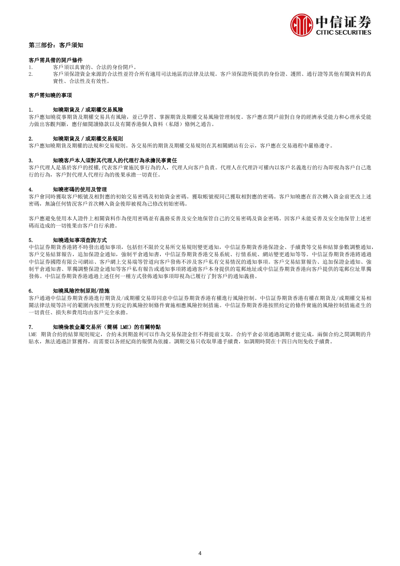

## 第三部份: 客戶須知

#### 客戶需具備的開戶條件

1. 客戶須以真實的、合法的身份開戶。

2. 客戶須保證資金來源的合法性並符合所有適用司法地區的法律及法規。客戶須保證所提供的身份證、護照、通行證等其他有關資料的真 實性、合法性及有效性。

#### 客戶需知曉的事項

#### 1. 知曉期貨及/或期權交易風險

客戶應知曉從事期貨及期權交易具有風險,並已學習、掌握期貨及期權交易風險管理制度。客戶應在開戶前對自身的經濟承受能力和心理承受能 力做出客觀判斷,應仔細閱讀條款以及有關香港個人資料(私隱)條例之通告。

#### 2. 知曉期貨及/或期權交易規則

客戶應知曉期貨及期權的法規和交易規則。各交易所的期貨及期權交易規則在其相關網站有公示,客戶應在交易過程中嚴格遵守。

#### 3. 知曉客戶本人須對其代理人的代理行為承擔民事責任

客戶代理人是基於客戶的授權,代表客戶實施民事行為的人,代理人向客戶負責。代理人在代理許可權內以客戶名義進行的行為即視為客戶自己進 行的行為,客戶對代理人代理行為的後果承擔一切責任。

#### 4. 知曉密碼的使用及管理

客戶會同時獲取客戶帳號及相對應的初始交易密碼及初始資金密碼。獲取帳號視同已獲取相對應的密碼。客戶知曉應在首次轉入資金前更改上述 密碼,無論任何情況客戶首次轉入資金後即被視為己修改初始密碼。

客戶應避免使用本人證件上相關資料作為使用密碼並有義務妥善及安全地保管自己的交易密碼及資金密碼。因客戶未能妥善及安全地保管上述密 碼而造成的一切後果由客戶自行承擔。

#### 5. 知曉通知事項查詢方式

中信証券期貨香港將不時發出通知事項,包括但不限於交易所交易規則變更通知,中信証券期貨香港保證金、手續費等交易和結算參數調整通知, 客戶交易結算報告,追加保證金通知,強制平倉通知書,中信証券期貨香港交易系統、行情系統、網站變更通知等等。中信証券期貨香港將通過 中信証券國際有限公司網站、客戶網上交易端等管道向客戶發佈不涉及客戶私有交易情況的通知事項。客戶交易結算報告、追加保證金通知、強 制平倉通知書、單獨調整保證金通知等客戶私有報告或通知事項將通過客戶本身提供的電郵地址或中信証券期貨香港向客戶提供的電郵位址單獨 發佈。中信証券期貨香港通過上述任何一種方式發佈通知事項即視為已履行了對客戶的通知義務。

# 6. 知曉風險控制原則/措施

客戶通過中信証券期貨香港進行期貨及/或期權交易即同意中信証券期貨香港有權進行風險控制。中信証券期貨香港有權在期貨及/或期權交易相 關法律法規等許可的範圍內按照雙方約定的風險控制條件實施相應風險控制措施。中信証券期貨香港按照約定的條件實施的風險控制措施產生的 一切責任、損失和費用均由客戶完全承擔。

#### 7. 知曉倫敦金屬交易所(簡稱 LME)的有關特點

LME 期貨合約的結算規則規定,合約未到期盈利可以作為交易保證金但不得提前支取。合約平倉必須通過調期才能完成,兩個合約之間調期的升 貼水,無法通過計算獲得,而需要以各經紀商的報價為依據。調期交易只收取單邊手續費,如調期時間在十四日內則免收手續費。